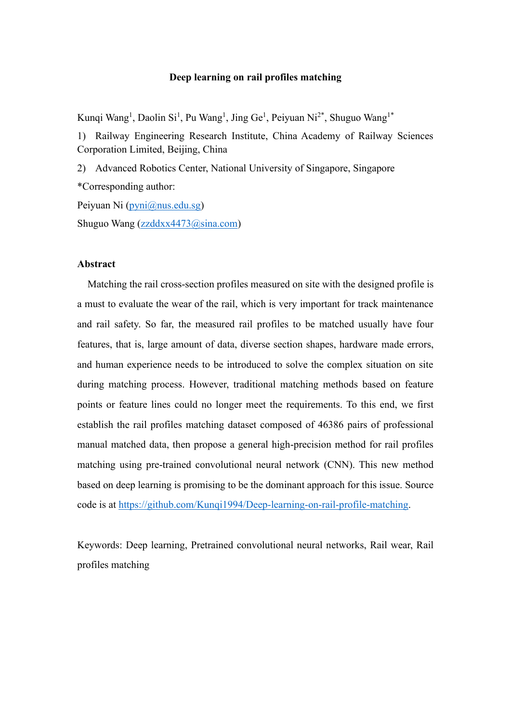### **Deep learning on rail profiles matching**

Kunqi Wang<sup>1</sup>, Daolin Si<sup>1</sup>, Pu Wang<sup>1</sup>, Jing Ge<sup>1</sup>, Peiyuan Ni<sup>2\*</sup>, Shuguo Wang<sup>1\*</sup>

1) Railway Engineering Research Institute, China Academy of Railway Sciences Corporation Limited, Beijing, China

2) Advanced Robotics Center, National University of Singapore, Singapore \*Corresponding author:

Peiyuan Ni [\(pyni@nus.edu.sg\)](mailto:pyni@nus.edu.sg) Shuguo Wang [\(zzddxx4473@sina.com\)](mailto:zzddxx4473@sina.com)

### **Abstract**

Matching the rail cross-section profiles measured on site with the designed profile is a must to evaluate the wear of the rail, which is very important for track maintenance and rail safety. So far, the measured rail profiles to be matched usually have four features, that is, large amount of data, diverse section shapes, hardware made errors, and human experience needs to be introduced to solve the complex situation on site during matching process. However, traditional matching methods based on feature points or feature lines could no longer meet the requirements. To this end, we first establish the rail profiles matching dataset composed of 46386 pairs of professional manual matched data, then propose a general high-precision method for rail profiles matching using pre-trained convolutional neural network (CNN). This new method based on deep learning is promising to be the dominant approach for this issue. Source code is at [https://github.com/Kunqi1994/Deep-learning-on-rail-profile-matching.](https://github.com/Kunqi1994/Deep-learning-on-rail-profile-matching)

Keywords: Deep learning, Pretrained convolutional neural networks, Rail wear, Rail profiles matching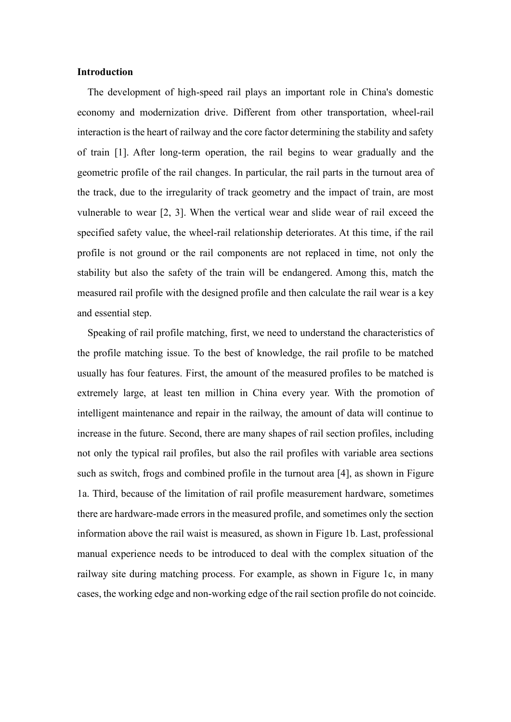### **Introduction**

The development of high-speed rail plays an important role in China's domestic economy and modernization drive. Different from other transportation, wheel-rail interaction is the heart of railway and the core factor determining the stability and safety of train [1]. After long-term operation, the rail begins to wear gradually and the geometric profile of the rail changes. In particular, the rail parts in the turnout area of the track, due to the irregularity of track geometry and the impact of train, are most vulnerable to wear [2, 3]. When the vertical wear and slide wear of rail exceed the specified safety value, the wheel-rail relationship deteriorates. At this time, if the rail profile is not ground or the rail components are not replaced in time, not only the stability but also the safety of the train will be endangered. Among this, match the measured rail profile with the designed profile and then calculate the rail wear is a key and essential step.

Speaking of rail profile matching, first, we need to understand the characteristics of the profile matching issue. To the best of knowledge, the rail profile to be matched usually has four features. First, the amount of the measured profiles to be matched is extremely large, at least ten million in China every year. With the promotion of intelligent maintenance and repair in the railway, the amount of data will continue to increase in the future. Second, there are many shapes of rail section profiles, including not only the typical rail profiles, but also the rail profiles with variable area sections such as switch, frogs and combined profile in the turnout area [4], as shown in Figure 1a. Third, because of the limitation of rail profile measurement hardware, sometimes there are hardware-made errors in the measured profile, and sometimes only the section information above the rail waist is measured, as shown in Figure 1b. Last, professional manual experience needs to be introduced to deal with the complex situation of the railway site during matching process. For example, as shown in Figure 1c, in many cases, the working edge and non-working edge of the rail section profile do not coincide.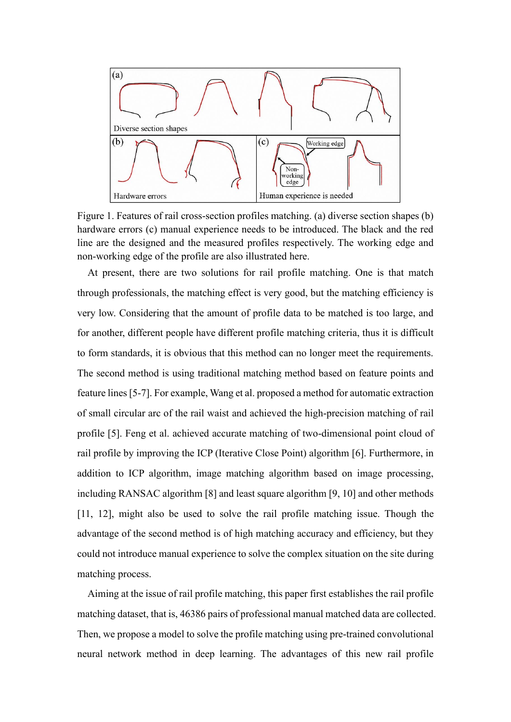

Figure 1. Features of rail cross-section profiles matching. (a) diverse section shapes (b) hardware errors (c) manual experience needs to be introduced. The black and the red line are the designed and the measured profiles respectively. The working edge and non-working edge of the profile are also illustrated here.

At present, there are two solutions for rail profile matching. One is that match through professionals, the matching effect is very good, but the matching efficiency is very low. Considering that the amount of profile data to be matched is too large, and for another, different people have different profile matching criteria, thus it is difficult to form standards, it is obvious that this method can no longer meet the requirements. The second method is using traditional matching method based on feature points and feature lines[5-7]. For example, Wang et al. proposed a method for automatic extraction of small circular arc of the rail waist and achieved the high-precision matching of rail profile [5]. Feng et al. achieved accurate matching of two-dimensional point cloud of rail profile by improving the ICP (Iterative Close Point) algorithm [6]. Furthermore, in addition to ICP algorithm, image matching algorithm based on image processing, including RANSAC algorithm [8] and least square algorithm [9, 10] and other methods [11, 12], might also be used to solve the rail profile matching issue. Though the advantage of the second method is of high matching accuracy and efficiency, but they could not introduce manual experience to solve the complex situation on the site during matching process.

Aiming at the issue of rail profile matching, this paper first establishes the rail profile matching dataset, that is, 46386 pairs of professional manual matched data are collected. Then, we propose a model to solve the profile matching using pre-trained convolutional neural network method in deep learning. The advantages of this new rail profile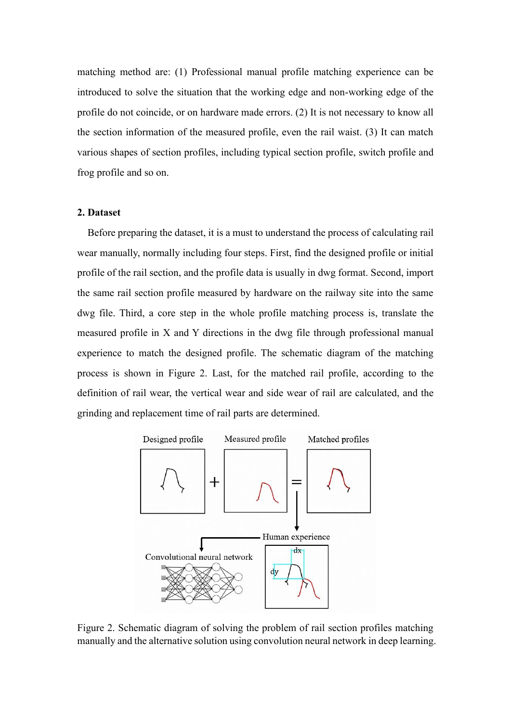matching method are: (1) Professional manual profile matching experience can be introduced to solve the situation that the working edge and non-working edge of the profile do not coincide, or on hardware made errors. (2) It is not necessary to know all the section information of the measured profile, even the rail waist. (3) It can match various shapes of section profiles, including typical section profile, switch profile and frog profile and so on.

## **2. Dataset**

Before preparing the dataset, it is a must to understand the process of calculating rail wear manually, normally including four steps. First, find the designed profile or initial profile of the rail section, and the profile data is usually in dwg format. Second, import the same rail section profile measured by hardware on the railway site into the same dwg file. Third, a core step in the whole profile matching process is, translate the measured profile in X and Y directions in the dwg file through professional manual experience to match the designed profile. The schematic diagram of the matching process is shown in Figure 2. Last, for the matched rail profile, according to the definition of rail wear, the vertical wear and side wear of rail are calculated, and the grinding and replacement time of rail parts are determined.



Figure 2. Schematic diagram of solving the problem of rail section profiles matching manually and the alternative solution using convolution neural network in deep learning.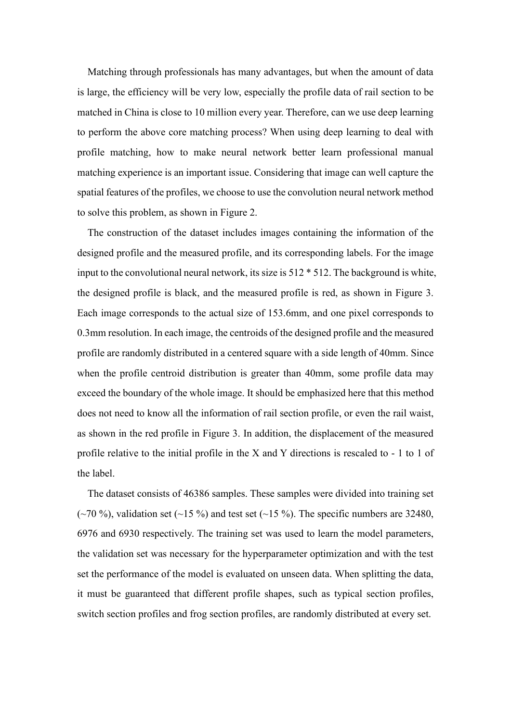Matching through professionals has many advantages, but when the amount of data is large, the efficiency will be very low, especially the profile data of rail section to be matched in China is close to 10 million every year. Therefore, can we use deep learning to perform the above core matching process? When using deep learning to deal with profile matching, how to make neural network better learn professional manual matching experience is an important issue. Considering that image can well capture the spatial features of the profiles, we choose to use the convolution neural network method to solve this problem, as shown in Figure 2.

The construction of the dataset includes images containing the information of the designed profile and the measured profile, and its corresponding labels. For the image input to the convolutional neural network, its size is 512 \* 512. The background is white, the designed profile is black, and the measured profile is red, as shown in Figure 3. Each image corresponds to the actual size of 153.6mm, and one pixel corresponds to 0.3mm resolution. In each image, the centroids of the designed profile and the measured profile are randomly distributed in a centered square with a side length of 40mm. Since when the profile centroid distribution is greater than 40mm, some profile data may exceed the boundary of the whole image. It should be emphasized here that this method does not need to know all the information of rail section profile, or even the rail waist, as shown in the red profile in Figure 3. In addition, the displacement of the measured profile relative to the initial profile in the X and Y directions is rescaled to - 1 to 1 of the label.

The dataset consists of 46386 samples. These samples were divided into training set ( $\sim$ 70 %), validation set ( $\sim$ 15 %) and test set ( $\sim$ 15 %). The specific numbers are 32480, 6976 and 6930 respectively. The training set was used to learn the model parameters, the validation set was necessary for the hyperparameter optimization and with the test set the performance of the model is evaluated on unseen data. When splitting the data, it must be guaranteed that different profile shapes, such as typical section profiles, switch section profiles and frog section profiles, are randomly distributed at every set.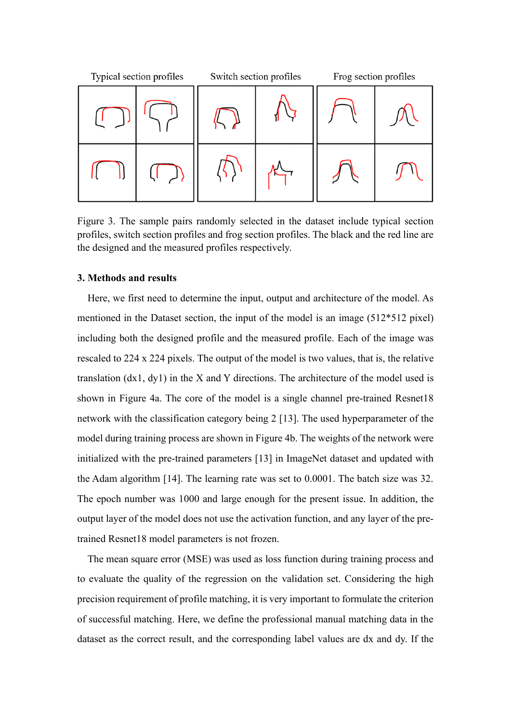

Figure 3. The sample pairs randomly selected in the dataset include typical section profiles, switch section profiles and frog section profiles. The black and the red line are the designed and the measured profiles respectively.

## **3. Methods and results**

Here, we first need to determine the input, output and architecture of the model. As mentioned in the Dataset section, the input of the model is an image (512\*512 pixel) including both the designed profile and the measured profile. Each of the image was rescaled to 224 x 224 pixels. The output of the model is two values, that is, the relative translation (dx1, dy1) in the X and Y directions. The architecture of the model used is shown in Figure 4a. The core of the model is a single channel pre-trained Resnet18 network with the classification category being 2 [13]. The used hyperparameter of the model during training process are shown in Figure 4b. The weights of the network were initialized with the pre-trained parameters [13] in ImageNet dataset and updated with the Adam algorithm [14]. The learning rate was set to 0.0001. The batch size was 32. The epoch number was 1000 and large enough for the present issue. In addition, the output layer of the model does not use the activation function, and any layer of the pretrained Resnet18 model parameters is not frozen.

The mean square error (MSE) was used as loss function during training process and to evaluate the quality of the regression on the validation set. Considering the high precision requirement of profile matching, it is very important to formulate the criterion of successful matching. Here, we define the professional manual matching data in the dataset as the correct result, and the corresponding label values are dx and dy. If the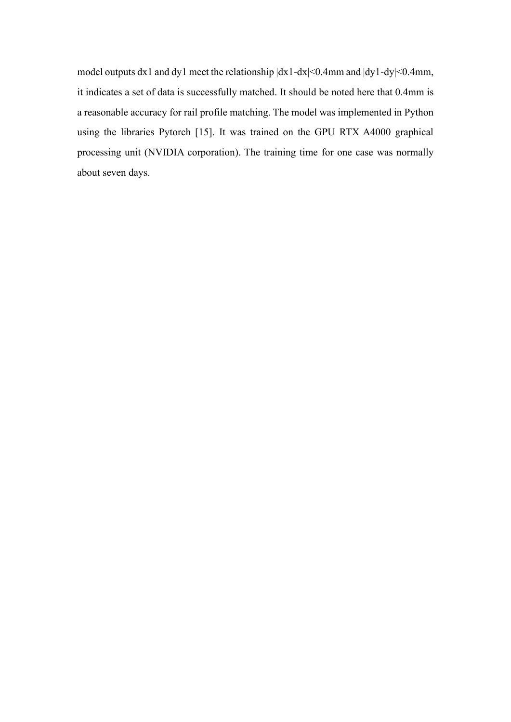model outputs dx1 and dy1 meet the relationship  $|dx1-dx| \le 0.4$ mm and  $|dy1-dy| \le 0.4$ mm, it indicates a set of data is successfully matched. It should be noted here that 0.4mm is a reasonable accuracy for rail profile matching. The model was implemented in Python using the libraries Pytorch [15]. It was trained on the GPU RTX A4000 graphical processing unit (NVIDIA corporation). The training time for one case was normally about seven days.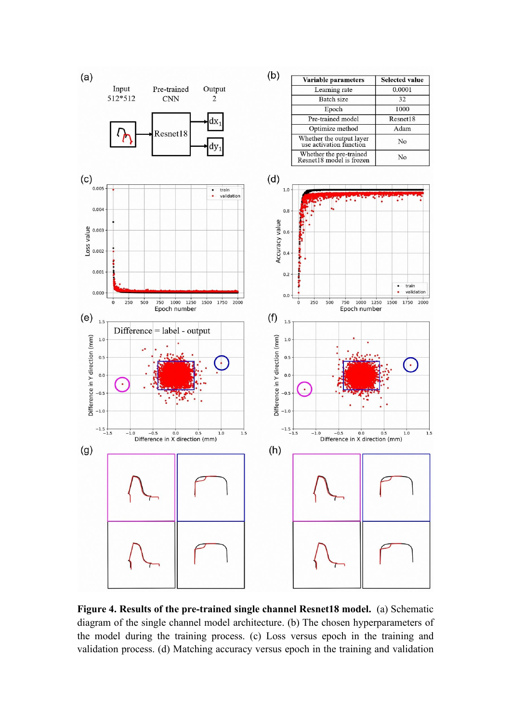

**Figure 4. Results of the pre-trained single channel Resnet18 model.** (a) Schematic diagram of the single channel model architecture. (b) The chosen hyperparameters of the model during the training process. (c) Loss versus epoch in the training and validation process. (d) Matching accuracy versus epoch in the training and validation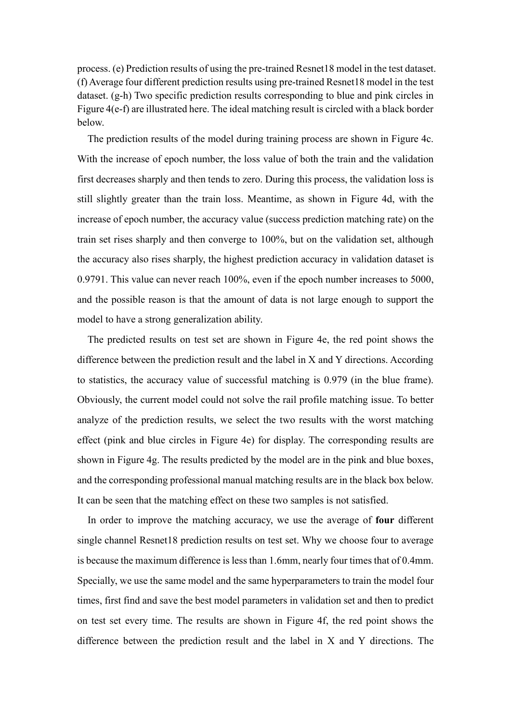process. (e) Prediction results of using the pre-trained Resnet18 model in the test dataset. (f) Average four different prediction results using pre-trained Resnet18 model in the test dataset. (g-h) Two specific prediction results corresponding to blue and pink circles in Figure 4(e-f) are illustrated here. The ideal matching result is circled with a black border below.

The prediction results of the model during training process are shown in Figure 4c. With the increase of epoch number, the loss value of both the train and the validation first decreases sharply and then tends to zero. During this process, the validation loss is still slightly greater than the train loss. Meantime, as shown in Figure 4d, with the increase of epoch number, the accuracy value (success prediction matching rate) on the train set rises sharply and then converge to 100%, but on the validation set, although the accuracy also rises sharply, the highest prediction accuracy in validation dataset is 0.9791. This value can never reach 100%, even if the epoch number increases to 5000, and the possible reason is that the amount of data is not large enough to support the model to have a strong generalization ability.

The predicted results on test set are shown in Figure 4e, the red point shows the difference between the prediction result and the label in X and Y directions. According to statistics, the accuracy value of successful matching is 0.979 (in the blue frame). Obviously, the current model could not solve the rail profile matching issue. To better analyze of the prediction results, we select the two results with the worst matching effect (pink and blue circles in Figure 4e) for display. The corresponding results are shown in Figure 4g. The results predicted by the model are in the pink and blue boxes, and the corresponding professional manual matching results are in the black box below. It can be seen that the matching effect on these two samples is not satisfied.

In order to improve the matching accuracy, we use the average of **four** different single channel Resnet18 prediction results on test set. Why we choose four to average is because the maximum difference is less than 1.6mm, nearly four times that of 0.4mm. Specially, we use the same model and the same hyperparameters to train the model four times, first find and save the best model parameters in validation set and then to predict on test set every time. The results are shown in Figure 4f, the red point shows the difference between the prediction result and the label in X and Y directions. The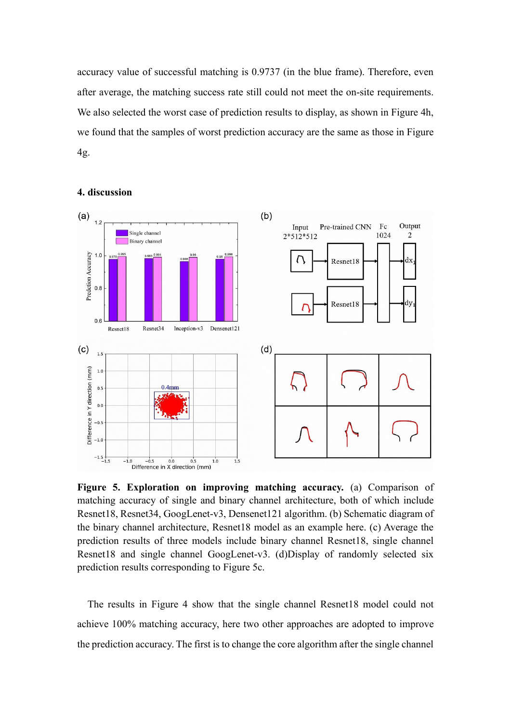accuracy value of successful matching is 0.9737 (in the blue frame). Therefore, even after average, the matching success rate still could not meet the on-site requirements. We also selected the worst case of prediction results to display, as shown in Figure 4h, we found that the samples of worst prediction accuracy are the same as those in Figure 4g.



#### **4. discussion**

**Figure 5. Exploration on improving matching accuracy.** (a) Comparison of matching accuracy of single and binary channel architecture, both of which include Resnet18, Resnet34, GoogLenet-v3, Densenet121 algorithm. (b) Schematic diagram of the binary channel architecture, Resnet18 model as an example here. (c) Average the prediction results of three models include binary channel Resnet18, single channel Resnet18 and single channel GoogLenet-v3. (d)Display of randomly selected six prediction results corresponding to Figure 5c.

The results in Figure 4 show that the single channel Resnet18 model could not achieve 100% matching accuracy, here two other approaches are adopted to improve the prediction accuracy. The first is to change the core algorithm after the single channel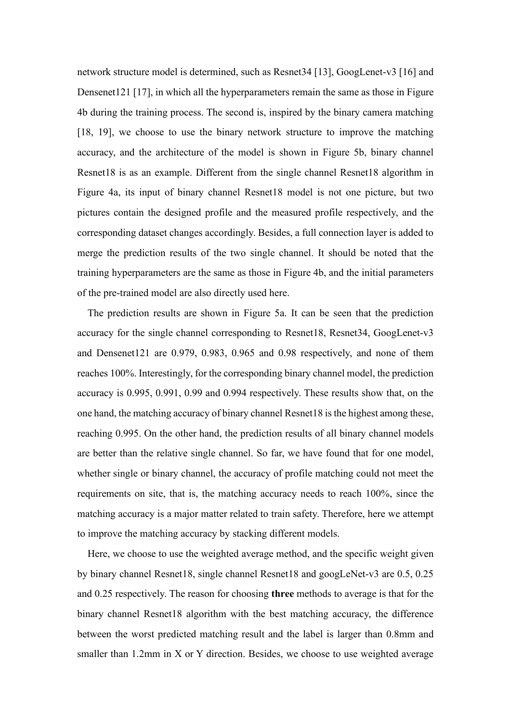network structure model is determined, such as Resnet34 [13], GoogLenet-v3 [16] and Densenet121 [17], in which all the hyperparameters remain the same as those in Figure 4b during the training process. The second is, inspired by the binary camera matching [18, 19], we choose to use the binary network structure to improve the matching accuracy, and the architecture of the model is shown in Figure 5b, binary channel Resnet18 is as an example. Different from the single channel Resnet18 algorithm in Figure 4a, its input of binary channel Resnet18 model is not one picture, but two pictures contain the designed profile and the measured profile respectively, and the corresponding dataset changes accordingly. Besides, a full connection layer is added to merge the prediction results of the two single channel. It should be noted that the training hyperparameters are the same as those in Figure 4b, and the initial parameters of the pre-trained model are also directly used here.

The prediction results are shown in Figure 5a. It can be seen that the prediction accuracy for the single channel corresponding to Resnet18, Resnet34, GoogLenet-v3 and Densenet121 are 0.979, 0.983, 0.965 and 0.98 respectively, and none of them reaches 100%. Interestingly, for the corresponding binary channel model, the prediction accuracy is 0.995, 0.991, 0.99 and 0.994 respectively. These results show that, on the one hand, the matching accuracy of binary channel Resnet18 is the highest among these, reaching 0.995. On the other hand, the prediction results of all binary channel models are better than the relative single channel. So far, we have found that for one model, whether single or binary channel, the accuracy of profile matching could not meet the requirements on site, that is, the matching accuracy needs to reach 100%, since the matching accuracy is a major matter related to train safety. Therefore, here we attempt to improve the matching accuracy by stacking different models.

Here, we choose to use the weighted average method, and the specific weight given by binary channel Resnet18, single channel Resnet18 and googLeNet-v3 are 0.5, 0.25 and 0.25 respectively. The reason for choosing **three** methods to average is that for the binary channel Resnet18 algorithm with the best matching accuracy, the difference between the worst predicted matching result and the label is larger than 0.8mm and smaller than 1.2mm in X or Y direction. Besides, we choose to use weighted average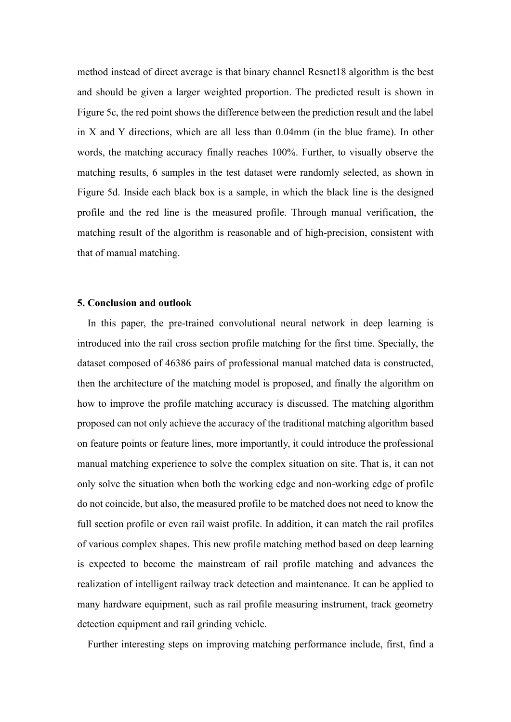method instead of direct average is that binary channel Resnet18 algorithm is the best and should be given a larger weighted proportion. The predicted result is shown in Figure 5c, the red point shows the difference between the prediction result and the label in X and Y directions, which are all less than 0.04mm (in the blue frame). In other words, the matching accuracy finally reaches 100%. Further, to visually observe the matching results, 6 samples in the test dataset were randomly selected, as shown in Figure 5d. Inside each black box is a sample, in which the black line is the designed profile and the red line is the measured profile. Through manual verification, the matching result of the algorithm is reasonable and of high-precision, consistent with that of manual matching.

#### **5. Conclusion and outlook**

In this paper, the pre-trained convolutional neural network in deep learning is introduced into the rail cross section profile matching for the first time. Specially, the dataset composed of 46386 pairs of professional manual matched data is constructed, then the architecture of the matching model is proposed, and finally the algorithm on how to improve the profile matching accuracy is discussed. The matching algorithm proposed can not only achieve the accuracy of the traditional matching algorithm based on feature points or feature lines, more importantly, it could introduce the professional manual matching experience to solve the complex situation on site. That is, it can not only solve the situation when both the working edge and non-working edge of profile do not coincide, but also, the measured profile to be matched does not need to know the full section profile or even rail waist profile. In addition, it can match the rail profiles of various complex shapes. This new profile matching method based on deep learning is expected to become the mainstream of rail profile matching and advances the realization of intelligent railway track detection and maintenance. It can be applied to many hardware equipment, such as rail profile measuring instrument, track geometry detection equipment and rail grinding vehicle.

Further interesting steps on improving matching performance include, first, find a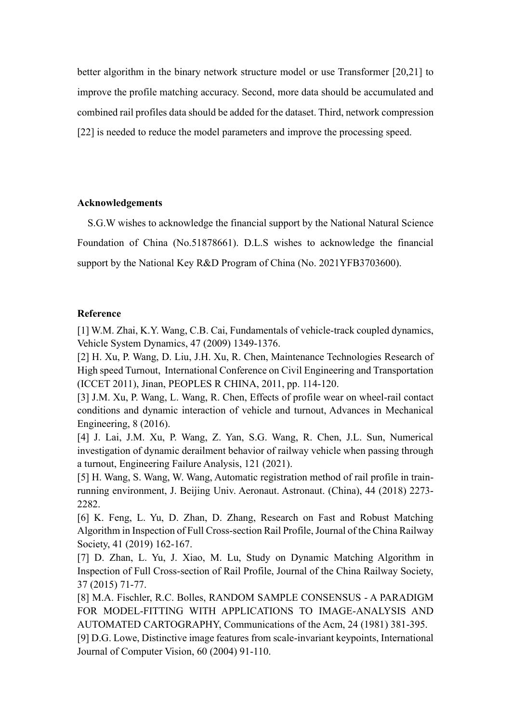better algorithm in the binary network structure model or use Transformer [20,21] to improve the profile matching accuracy. Second, more data should be accumulated and combined rail profiles data should be added for the dataset. Third, network compression [22] is needed to reduce the model parameters and improve the processing speed.

# **Acknowledgements**

S.G.W wishes to acknowledge the financial support by the National Natural Science Foundation of China (No.51878661). D.L.S wishes to acknowledge the financial support by the National Key R&D Program of China (No. 2021YFB3703600).

## **Reference**

[1] W.M. Zhai, K.Y. Wang, C.B. Cai, Fundamentals of vehicle-track coupled dynamics, Vehicle System Dynamics, 47 (2009) 1349-1376.

[2] H. Xu, P. Wang, D. Liu, J.H. Xu, R. Chen, Maintenance Technologies Research of High speed Turnout, International Conference on Civil Engineering and Transportation (ICCET 2011), Jinan, PEOPLES R CHINA, 2011, pp. 114-120.

[3] J.M. Xu, P. Wang, L. Wang, R. Chen, Effects of profile wear on wheel-rail contact conditions and dynamic interaction of vehicle and turnout, Advances in Mechanical Engineering, 8 (2016).

[4] J. Lai, J.M. Xu, P. Wang, Z. Yan, S.G. Wang, R. Chen, J.L. Sun, Numerical investigation of dynamic derailment behavior of railway vehicle when passing through a turnout, Engineering Failure Analysis, 121 (2021).

[5] H. Wang, S. Wang, W. Wang, Automatic registration method of rail profile in trainrunning environment, J. Beijing Univ. Aeronaut. Astronaut. (China), 44 (2018) 2273- 2282.

[6] K. Feng, L. Yu, D. Zhan, D. Zhang, Research on Fast and Robust Matching Algorithm in Inspection of Full Cross-section Rail Profile, Journal of the China Railway Society, 41 (2019) 162-167.

[7] D. Zhan, L. Yu, J. Xiao, M. Lu, Study on Dynamic Matching Algorithm in Inspection of Full Cross-section of Rail Profile, Journal of the China Railway Society, 37 (2015) 71-77.

[8] M.A. Fischler, R.C. Bolles, RANDOM SAMPLE CONSENSUS - A PARADIGM FOR MODEL-FITTING WITH APPLICATIONS TO IMAGE-ANALYSIS AND AUTOMATED CARTOGRAPHY, Communications of the Acm, 24 (1981) 381-395.

[9] D.G. Lowe, Distinctive image features from scale-invariant keypoints, International Journal of Computer Vision, 60 (2004) 91-110.